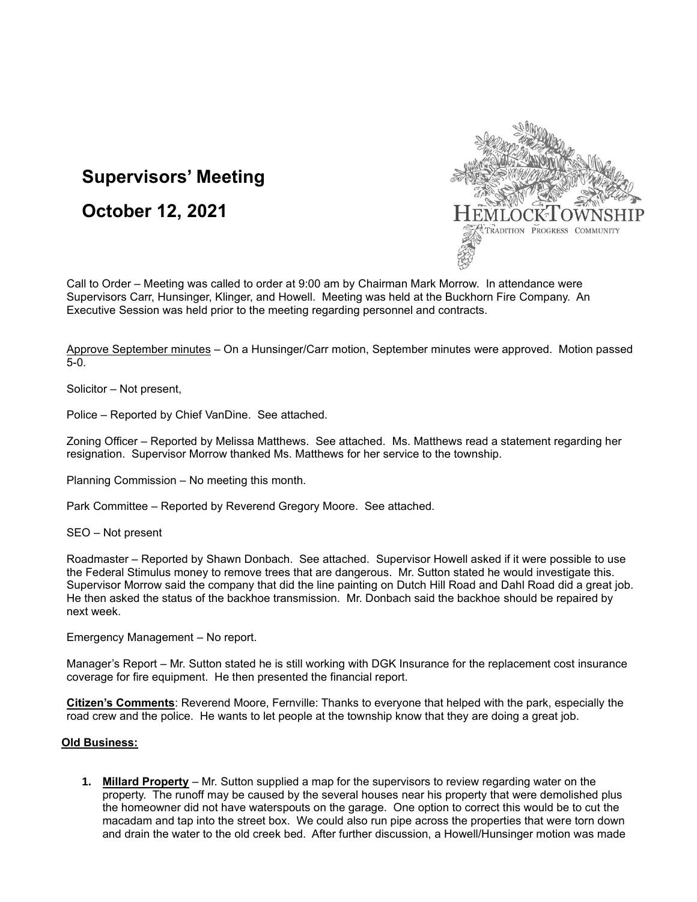## **Supervisors' Meeting**

**October 12, 2021**



Call to Order – Meeting was called to order at 9:00 am by Chairman Mark Morrow. In attendance were Supervisors Carr, Hunsinger, Klinger, and Howell. Meeting was held at the Buckhorn Fire Company. An Executive Session was held prior to the meeting regarding personnel and contracts.

Approve September minutes – On a Hunsinger/Carr motion, September minutes were approved. Motion passed 5-0.

Solicitor – Not present,

Police – Reported by Chief VanDine. See attached.

Zoning Officer – Reported by Melissa Matthews. See attached. Ms. Matthews read a statement regarding her resignation. Supervisor Morrow thanked Ms. Matthews for her service to the township.

Planning Commission – No meeting this month.

Park Committee – Reported by Reverend Gregory Moore. See attached.

SEO – Not present

Roadmaster – Reported by Shawn Donbach. See attached. Supervisor Howell asked if it were possible to use the Federal Stimulus money to remove trees that are dangerous. Mr. Sutton stated he would investigate this. Supervisor Morrow said the company that did the line painting on Dutch Hill Road and Dahl Road did a great job. He then asked the status of the backhoe transmission. Mr. Donbach said the backhoe should be repaired by next week.

Emergency Management – No report.

Manager's Report – Mr. Sutton stated he is still working with DGK Insurance for the replacement cost insurance coverage for fire equipment. He then presented the financial report.

**Citizen's Comments**: Reverend Moore, Fernville: Thanks to everyone that helped with the park, especially the road crew and the police. He wants to let people at the township know that they are doing a great job.

## **Old Business:**

**1. Millard Property** – Mr. Sutton supplied a map for the supervisors to review regarding water on the property. The runoff may be caused by the several houses near his property that were demolished plus the homeowner did not have waterspouts on the garage. One option to correct this would be to cut the macadam and tap into the street box. We could also run pipe across the properties that were torn down and drain the water to the old creek bed. After further discussion, a Howell/Hunsinger motion was made